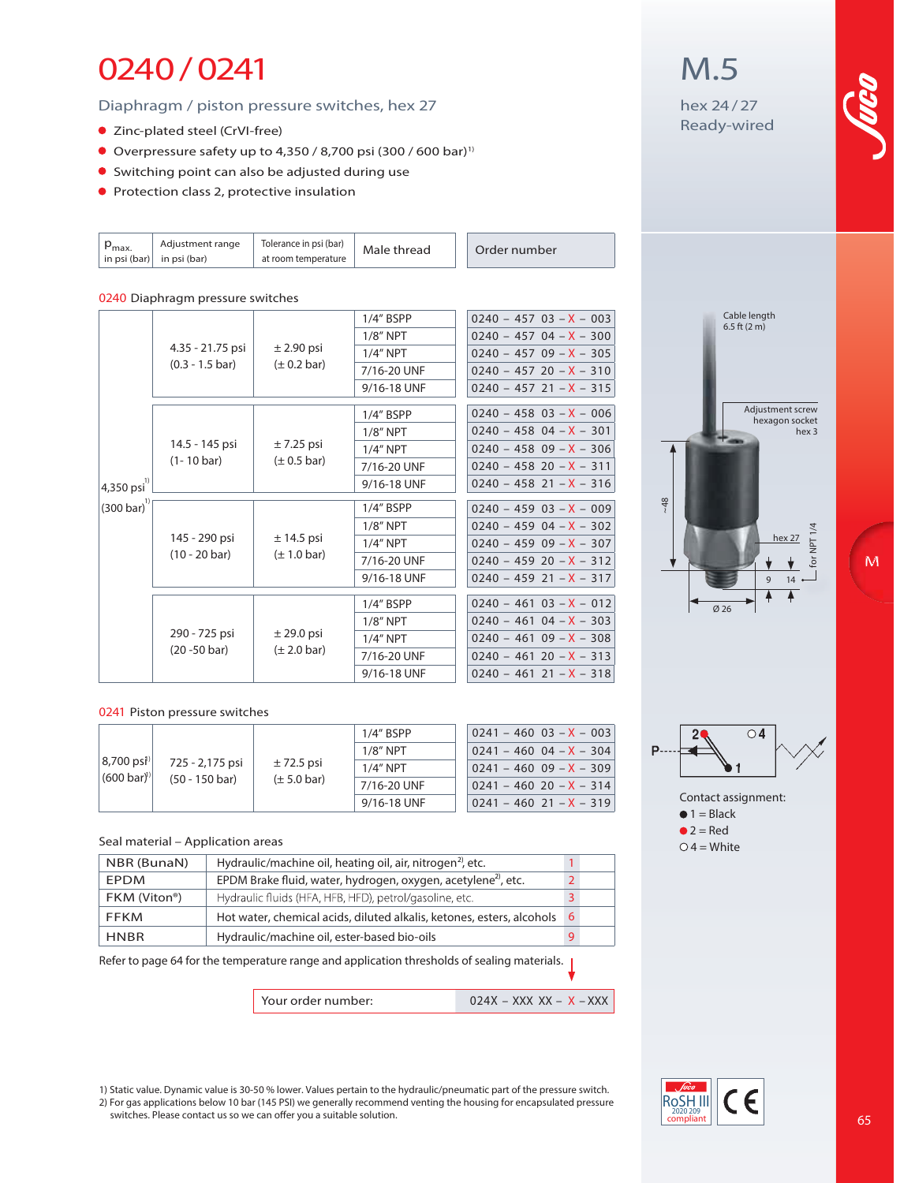### 0240/0241

Diaphragm / piston pressure switches, hex 27

- Zinc-plated steel (CrVI-free)
- Overpressure safety up to 4,350 / 8,700 psi  $(300 / 600 \text{ bar})^1$
- Switching point can also be adjusted during use
- **Protection class 2, protective insulation**

| $P_{\text{max}}$<br>in psi (bar) | Adjustment range<br>in psi (bar)              | Tolerance in psi (bar)<br>at room temperature | Male thread | Order number                |
|----------------------------------|-----------------------------------------------|-----------------------------------------------|-------------|-----------------------------|
|                                  | 0240 Diaphragm pressure switches              |                                               |             |                             |
|                                  | 4.35 - 21.75 psi<br>$(0.3 - 1.5 \text{ bar})$ | $\pm$ 2.90 psi<br>$(\pm 0.2 \text{ bar})$     | 1/4" BSPP   | $0240 - 457 03 - X - 003$   |
|                                  |                                               |                                               | $1/8$ " NPT | $0240 - 457 04 - X - 300$   |
|                                  |                                               |                                               | $1/4$ " NPT | $0240 - 45709 - X - 305$    |
|                                  |                                               |                                               | 7/16-20 UNF | $0240 - 457$ 20 $- X - 310$ |
|                                  |                                               |                                               | 9/16-18 UNF | $0240 - 457$ 21 - X - 315   |
|                                  | 14.5 - 145 psi<br>$(1 - 10 \text{ bar})$      |                                               | 1/4" BSPP   | $0240 - 458$ 03 - X - 006   |
|                                  |                                               |                                               | $1/8$ " NPT | $0240 - 458$ 04 - X - 301   |
|                                  |                                               | $\pm$ 7.25 psi<br>$(\pm 0.5$ bar)             | $1/4$ " NPT | $0240 - 458$ 09 $- X - 306$ |
|                                  |                                               |                                               | 7/16-20 UNF | $0240 - 458$ 20 $- X - 311$ |
| $ 4,350 \text{ psi}^{1)} $       |                                               |                                               | 9/16-18 UNF | $0240 - 458$ 21 - X - 316   |
| $(300 \,\text{bar})^{\text{1}}$  | 145 - 290 psi<br>$(10 - 20 \text{ bar})$      | $± 14.5$ psi<br>$(\pm 1.0 \text{ bar})$       | 1/4" BSPP   | $0240 - 459$ 03 - X - 009   |
|                                  |                                               |                                               | $1/8"$ NPT  | $0240 - 459$ 04 - X - 302   |
|                                  |                                               |                                               | $1/4$ " NPT | $0240 - 45909 - X - 307$    |
|                                  |                                               |                                               | 7/16-20 UNF | $0240 - 459 20 - X - 312$   |
|                                  |                                               |                                               | 9/16-18 UNF | $0240 - 459$ 21 - X - 317   |
|                                  | 290 - 725 psi<br>$(20 - 50 \text{ bar})$      | $±$ 29.0 psi<br>$(\pm 2.0 \text{ bar})$       | 1/4" BSPP   | $0240 - 461$ $03 - X - 012$ |
|                                  |                                               |                                               | $1/8$ " NPT | $0240 - 46104 - X - 303$    |
|                                  |                                               |                                               | $1/4$ " NPT | $0240 - 46109 - X - 308$    |
|                                  |                                               |                                               | 7/16-20 UNF | $0240 - 461 20 - X - 313$   |
|                                  |                                               |                                               | 9/16-18 UNF | $0240 - 461$ 21 - X - 318   |

#### **0241 Piston pressure switches**

|  |                                                 |                                             | 1/4" BSPP                                 | $0241 - 460$ 03 - X - 003 |                               |
|--|-------------------------------------------------|---------------------------------------------|-------------------------------------------|---------------------------|-------------------------------|
|  |                                                 | 725 - 2,175 psi<br>$(50 - 150 \text{ bar})$ | $\pm$ 72.5 psi<br>$(\pm 5.0 \text{ bar})$ | $1/8"$ NPT                | $0241 - 460$ 04 $-$ X $-$ 304 |
|  | $ 8,700 \text{ psi} $<br>$(600 \,\text{bar})^3$ |                                             |                                           | $1/4"$ NPT                | $0241 - 46009 - X - 309$      |
|  |                                                 |                                             |                                           | 7/16-20 UNF               | $0241 - 460$ 20 $- X - 314$   |
|  |                                                 |                                             | 9/16-18 UNF                               | $0241 - 460$ 21 - X - 319 |                               |

#### **Seal material – Application areas**

| NBR (BunaN)  | Hydraulic/machine oil, heating oil, air, nitrogen <sup>2</sup> , etc.     |                |
|--------------|---------------------------------------------------------------------------|----------------|
| EPDM         | EPDM Brake fluid, water, hydrogen, oxygen, acetylene <sup>2)</sup> , etc. | $\overline{2}$ |
| FKM (Viton®) | Hydraulic fluids (HFA, HFB, HFD), petrol/gasoline, etc.                   | 3              |
| <b>FFKM</b>  | Hot water, chemical acids, diluted alkalis, ketones, esters, alcohols     | -6             |
| <b>HNBR</b>  | Hydraulic/machine oil, ester-based bio-oils                               | 9              |

Refer to page 64 for the temperature range and application thresholds of sealing materials. |

**Your order number: 024X – XXX XX – X – XXX** 



### hex 24/27 Ready-wired

M.5









1) Static value. Dynamic value is 30-50 % lower. Values pertain to the hydraulic/pneumatic part of the pressure switch. 2) For gas applications below 10 bar (145 PSI) we generally recommend venting the housing for encapsulated pressure switches. Please contact us so we can offer you a suitable solution.



M

65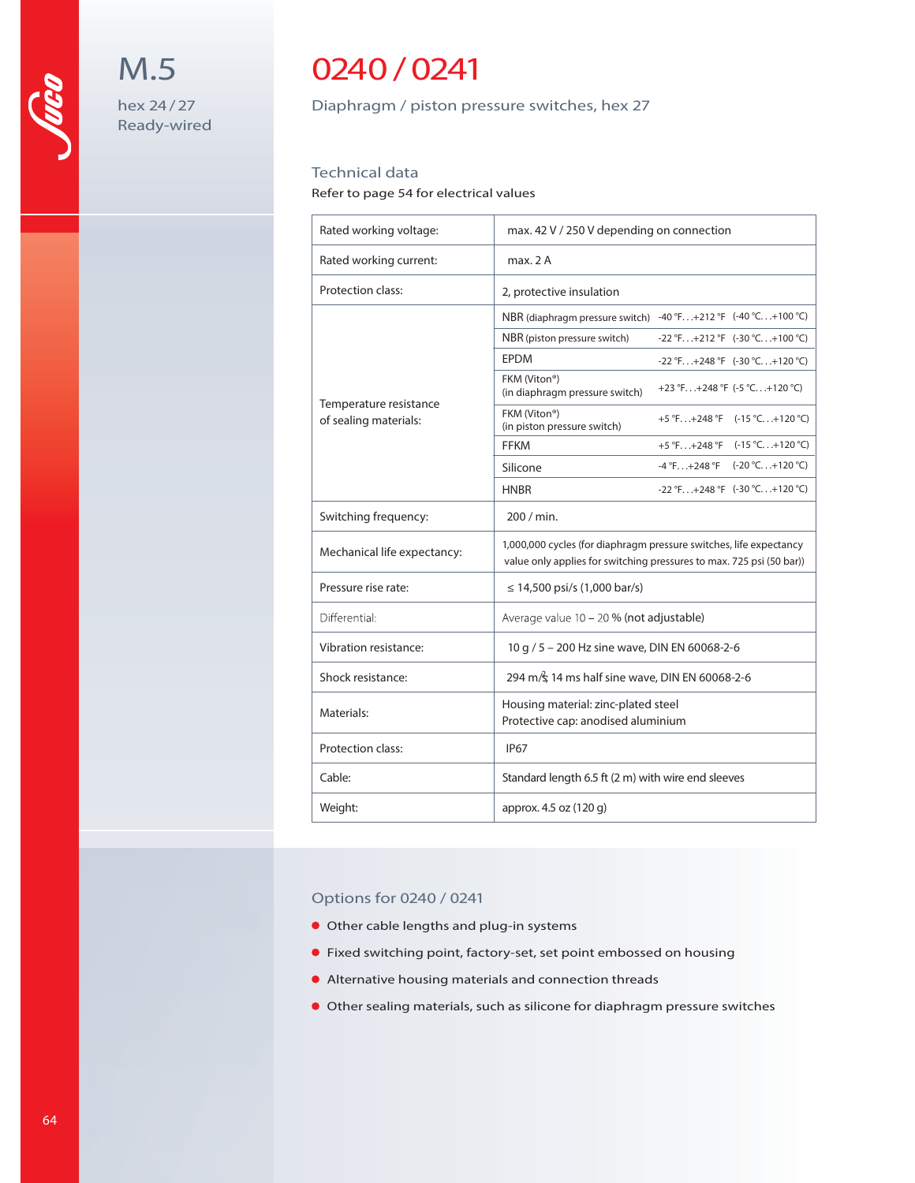## 0240/0241

M.5

hex 24/27 Ready-wired Diaphragm / piston pressure switches, hex 27

### Technical data

Refer to page 54 for electrical values

| Rated working voltage:      | max. 42 V / 250 V depending on connection                                                                                                  |  |  |
|-----------------------------|--------------------------------------------------------------------------------------------------------------------------------------------|--|--|
| Rated working current:      | max. 2A                                                                                                                                    |  |  |
| Protection class:           | 2, protective insulation                                                                                                                   |  |  |
|                             | NBR (diaphragm pressure switch) -40 °F+212 °F (-40 °C+100 °C)                                                                              |  |  |
|                             | NBR (piston pressure switch)<br>$-22$ °F $+212$ °F (-30 °C $+100$ °C)                                                                      |  |  |
|                             | <b>EPDM</b><br>$-22$ °F $+248$ °F (-30 °C $+120$ °C)                                                                                       |  |  |
| Temperature resistance      | FKM (Viton®)<br>+23 °F +248 °F $(-5$ °C +120 °C)<br>(in diaphragm pressure switch)                                                         |  |  |
| of sealing materials:       | FKM (Viton®)<br>$+5$ °F+248 °F (-15 °C+120 °C)<br>(in piston pressure switch)                                                              |  |  |
|                             | $+5$ °F $+248$ °F<br>$(-15 °C+120 °C)$<br><b>FFKM</b>                                                                                      |  |  |
|                             | $(-20 °C+120 °C)$<br>$-4$ °F. $. +248$ °F<br>Silicone                                                                                      |  |  |
|                             | $-22$ °F $+248$ °F $(-30$ °C $+120$ °C)<br><b>HNBR</b>                                                                                     |  |  |
| Switching frequency:        | 200 / min.                                                                                                                                 |  |  |
| Mechanical life expectancy: | 1,000,000 cycles (for diaphragm pressure switches, life expectancy<br>value only applies for switching pressures to max. 725 psi (50 bar)) |  |  |
| Pressure rise rate:         | $\leq$ 14,500 psi/s (1,000 bar/s)                                                                                                          |  |  |
| Differential:               | Average value 10 - 20 % (not adjustable)                                                                                                   |  |  |
| Vibration resistance:       | 10 g / 5 - 200 Hz sine wave, DIN EN 60068-2-6                                                                                              |  |  |
| Shock resistance:           | 294 m/s; 14 ms half sine wave, DIN EN 60068-2-6                                                                                            |  |  |
| Materials:                  | Housing material: zinc-plated steel<br>Protective cap: anodised aluminium                                                                  |  |  |
| Protection class:           | <b>IP67</b>                                                                                                                                |  |  |
| Cable:                      | Standard length 6.5 ft (2 m) with wire end sleeves                                                                                         |  |  |
| Weight:                     | approx. 4.5 oz (120 g)                                                                                                                     |  |  |

### Options for 0240 / 0241

- Other cable lengths and plug-in systems
- Fixed switching point, factory-set, set point embossed on housing
- Alternative housing materials and connection threads
- Other sealing materials, such as silicone for diaphragm pressure switches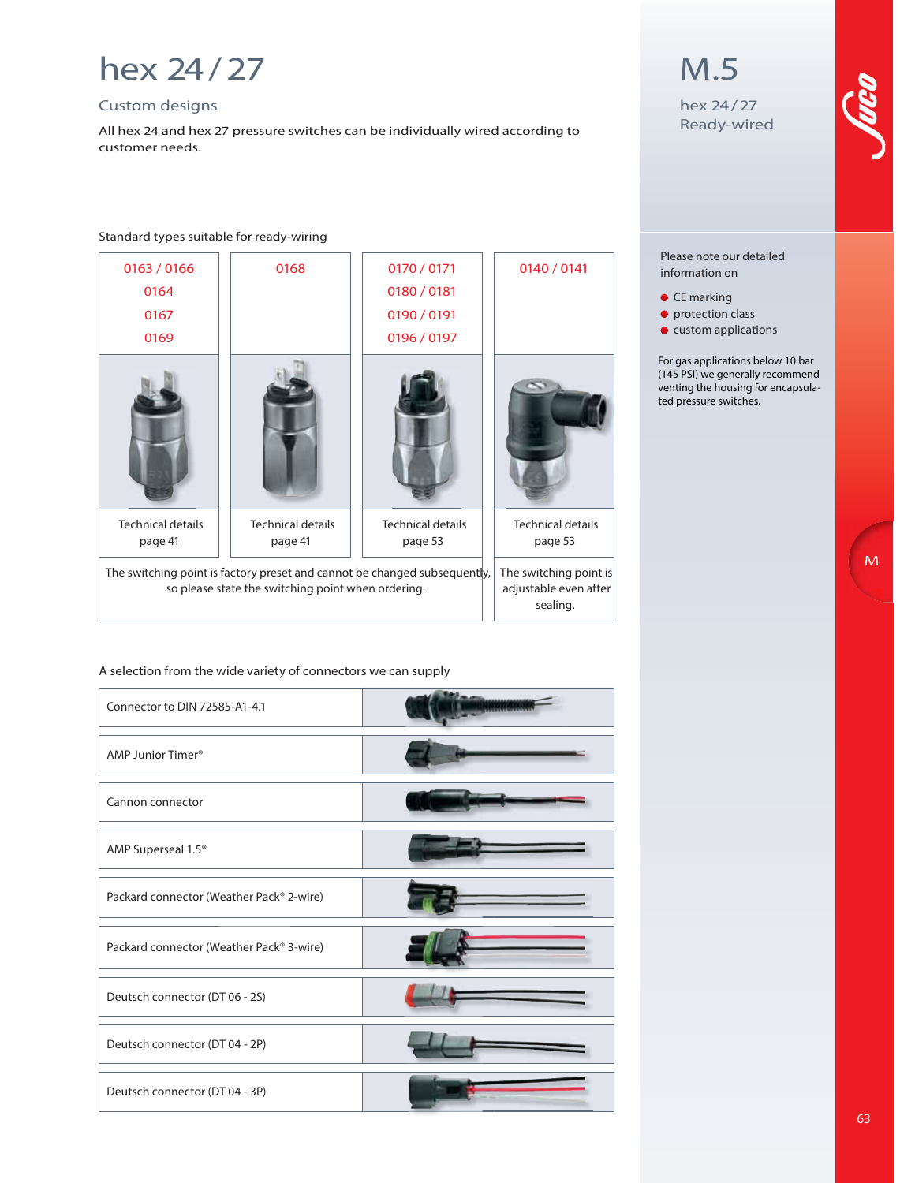## hex 24/27

### Custom designs

All hex 24 and hex 27 pressure switches can be individually wired according to customer needs.

#### **Standard types suitable for ready-wiring**

| 0163 / 0166                                                                                                                     | 0168                                                        | 0170 / 0171                         | 0140 / 0141                         |
|---------------------------------------------------------------------------------------------------------------------------------|-------------------------------------------------------------|-------------------------------------|-------------------------------------|
| 0164                                                                                                                            |                                                             | 0180 / 0181                         |                                     |
| 0167                                                                                                                            |                                                             | 0190 / 0191                         |                                     |
| 0169                                                                                                                            |                                                             | 0196 / 0197                         |                                     |
|                                                                                                                                 |                                                             |                                     |                                     |
| <b>Technical details</b><br>page 41                                                                                             | <b>Technical details</b><br>page 41                         | <b>Technical details</b><br>page 53 | <b>Technical details</b><br>page 53 |
| The switching point is factory preset and cannot be changed subsequently,<br>so please state the switching point when ordering. | The switching point is<br>adjustable even after<br>sealing. |                                     |                                     |

### **A selection from the wide variety of connectors we can supply**

| Connector to DIN 72585-A1-4.1            |  |
|------------------------------------------|--|
| AMP Junior Timer <sup>®</sup>            |  |
| Cannon connector                         |  |
| AMP Superseal 1.5 <sup>®</sup>           |  |
| Packard connector (Weather Pack® 2-wire) |  |
| Packard connector (Weather Pack® 3-wire) |  |
| Deutsch connector (DT 06 - 2S)           |  |
| Deutsch connector (DT 04 - 2P)           |  |
| Deutsch connector (DT 04 - 3P)           |  |

### M.5

hex 24/27 Ready-wired

#### Please note our detailed information on

- CE marking
- protection class
- custom applications

For gas applications below 10 bar (145 PSI) we generally recommend venting the housing for encapsulated pressure switches.

M